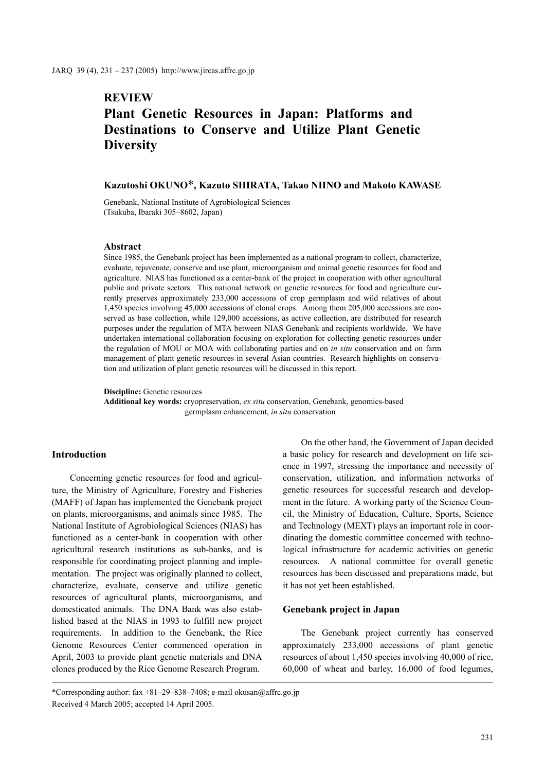# **REVIEW**

## **Plant Genetic Resources in Japan: Platforms and Destinations to Conserve and Utilize Plant Genetic Diversity**

## **Kazutoshi OKUNO**\***, Kazuto SHIRATA, Takao NIINO and Makoto KAWASE**

Genebank, National Institute of Agrobiological Sciences (Tsukuba, Ibaraki 305–8602, Japan)

## **Abstract**

Since 1985, the Genebank project has been implemented as a national program to collect, characterize, evaluate, rejuvenate, conserve and use plant, microorganism and animal genetic resources for food and agriculture. NIAS has functioned as a center-bank of the project in cooperation with other agricultural public and private sectors. This national network on genetic resources for food and agriculture currently preserves approximately 233,000 accessions of crop germplasm and wild relatives of about 1,450 species involving 45,000 accessions of clonal crops. Among them 205,000 accessions are conserved as base collection, while 129,000 accessions, as active collection, are distributed for research purposes under the regulation of MTA between NIAS Genebank and recipients worldwide. We have undertaken international collaboration focusing on exploration for collecting genetic resources under the regulation of MOU or MOA with collaborating parties and on *in situ* conservation and on farm management of plant genetic resources in several Asian countries. Research highlights on conservation and utilization of plant genetic resources will be discussed in this report.

**Discipline:** Genetic resources

**Additional key words:** cryopreservation, *ex situ* conservation, Genebank, genomics-based germplasm enhancement, *in situ* conservation

## **Introduction**

Concerning genetic resources for food and agriculture, the Ministry of Agriculture, Forestry and Fisheries (MAFF) of Japan has implemented the Genebank project on plants, microorganisms, and animals since 1985. The National Institute of Agrobiological Sciences (NIAS) has functioned as a center-bank in cooperation with other agricultural research institutions as sub-banks, and is responsible for coordinating project planning and implementation. The project was originally planned to collect, characterize, evaluate, conserve and utilize genetic resources of agricultural plants, microorganisms, and domesticated animals. The DNA Bank was also established based at the NIAS in 1993 to fulfill new project requirements. In addition to the Genebank, the Rice Genome Resources Center commenced operation in April, 2003 to provide plant genetic materials and DNA clones produced by the Rice Genome Research Program.

On the other hand, the Government of Japan decided a basic policy for research and development on life science in 1997, stressing the importance and necessity of conservation, utilization, and information networks of genetic resources for successful research and development in the future. A working party of the Science Council, the Ministry of Education, Culture, Sports, Science and Technology (MEXT) plays an important role in coordinating the domestic committee concerned with technological infrastructure for academic activities on genetic resources. A national committee for overall genetic resources has been discussed and preparations made, but it has not yet been established.

#### **Genebank project in Japan**

The Genebank project currently has conserved approximately 233,000 accessions of plant genetic resources of about 1,450 species involving 40,000 of rice, 60,000 of wheat and barley, 16,000 of food legumes,

<sup>\*</sup>Corresponding author: fax +81–29–838–7408; e-mail okusan@affrc.go.jp Received 4 March 2005; accepted 14 April 2005.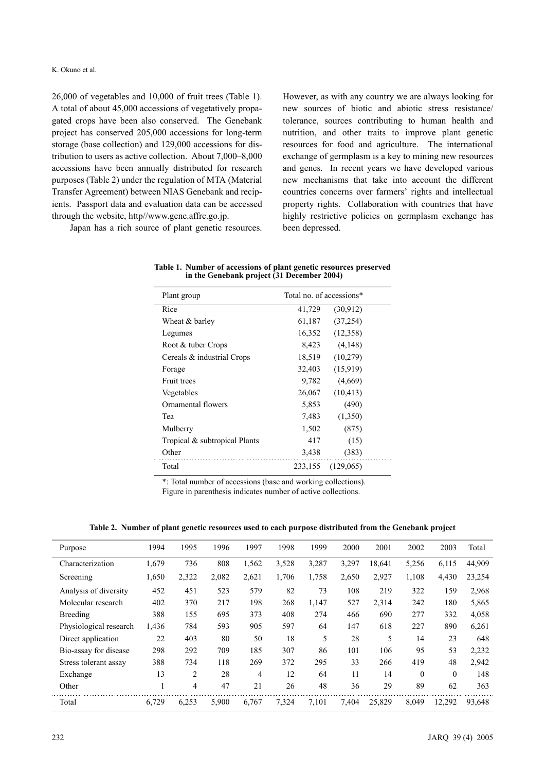## K. Okuno et al.

26,000 of vegetables and 10,000 of fruit trees (Table 1). A total of about 45,000 accessions of vegetatively propagated crops have been also conserved. The Genebank project has conserved 205,000 accessions for long-term storage (base collection) and 129,000 accessions for distribution to users as active collection. About 7,000–8,000 accessions have been annually distributed for research purposes (Table 2) under the regulation of MTA (Material Transfer Agreement) between NIAS Genebank and recipients. Passport data and evaluation data can be accessed through the website, http//www.gene.affrc.go.jp.

Japan has a rich source of plant genetic resources.

However, as with any country we are always looking for new sources of biotic and abiotic stress resistance/ tolerance, sources contributing to human health and nutrition, and other traits to improve plant genetic resources for food and agriculture. The international exchange of germplasm is a key to mining new resources and genes. In recent years we have developed various new mechanisms that take into account the different countries concerns over farmers' rights and intellectual property rights. Collaboration with countries that have highly restrictive policies on germplasm exchange has been depressed.

| Plant group                   | Total no. of accessions* |           |  |
|-------------------------------|--------------------------|-----------|--|
| Rice                          | 41,729                   | (30.912)  |  |
| Wheat & barley                | 61,187                   | (37, 254) |  |
| Legumes                       | 16,352                   | (12,358)  |  |
| Root & tuber Crops            | 8,423                    | (4,148)   |  |
| Cereals & industrial Crops    | 18,519                   | (10,279)  |  |
| Forage                        | 32,403                   | (15,919)  |  |
| <b>Fruit trees</b>            | 9,782                    | (4,669)   |  |
| Vegetables                    | 26,067                   | (10, 413) |  |
| Ornamental flowers            | 5,853                    | (490)     |  |
| Tea                           | 7.483                    | (1,350)   |  |
| Mulberry                      | 1,502                    | (875)     |  |
| Tropical & subtropical Plants | 417                      | (15)      |  |
| Other                         | 3,438                    | (383)     |  |
| Total                         | 233,155                  | (129,065) |  |

**Table 1. Number of accessions of plant genetic resources preserved in the Genebank project (31 December 2004)**

\*: Total number of accessions (base and working collections). Figure in parenthesis indicates number of active collections.

**Table 2. Number of plant genetic resources used to each purpose distributed from the Genebank project**

| Purpose                | 1994  | 1995           | 1996  | 1997  | 1998  | 1999  | 2000  | 2001   | 2002         | 2003         | Total  |
|------------------------|-------|----------------|-------|-------|-------|-------|-------|--------|--------------|--------------|--------|
| Characterization       | 1,679 | 736            | 808   | 1,562 | 3,528 | 3,287 | 3,297 | 18,641 | 5,256        | 6,115        | 44,909 |
| Screening              | 1,650 | 2,322          | 2,082 | 2,621 | 1,706 | 1,758 | 2,650 | 2,927  | 1,108        | 4,430        | 23,254 |
| Analysis of diversity  | 452   | 451            | 523   | 579   | 82    | 73    | 108   | 219    | 322          | 159          | 2,968  |
| Molecular research     | 402   | 370            | 217   | 198   | 268   | 1,147 | 527   | 2,314  | 242          | 180          | 5,865  |
| Breeding               | 388   | 155            | 695   | 373   | 408   | 274   | 466   | 690    | 277          | 332          | 4,058  |
| Physiological research | 1,436 | 784            | 593   | 905   | 597   | 64    | 147   | 618    | 227          | 890          | 6,261  |
| Direct application     | 22    | 403            | 80    | 50    | 18    | 5     | 28    | 5      | 14           | 23           | 648    |
| Bio-assay for disease  | 298   | 292            | 709   | 185   | 307   | 86    | 101   | 106    | 95           | 53           | 2,232  |
| Stress tolerant assay  | 388   | 734            | 118   | 269   | 372   | 295   | 33    | 266    | 419          | 48           | 2,942  |
| Exchange               | 13    | $\overline{c}$ | 28    | 4     | 12    | 64    | 11    | 14     | $\mathbf{0}$ | $\mathbf{0}$ | 148    |
| Other                  |       | 4              | 47    | 21    | 26    | 48    | 36    | 29     | 89           | 62           | 363    |
| Total                  | 6,729 | 6,253          | 5,900 | 6.767 | 7,324 | 7.101 | 7.404 | 25,829 | 8,049        | 12,292       | 93,648 |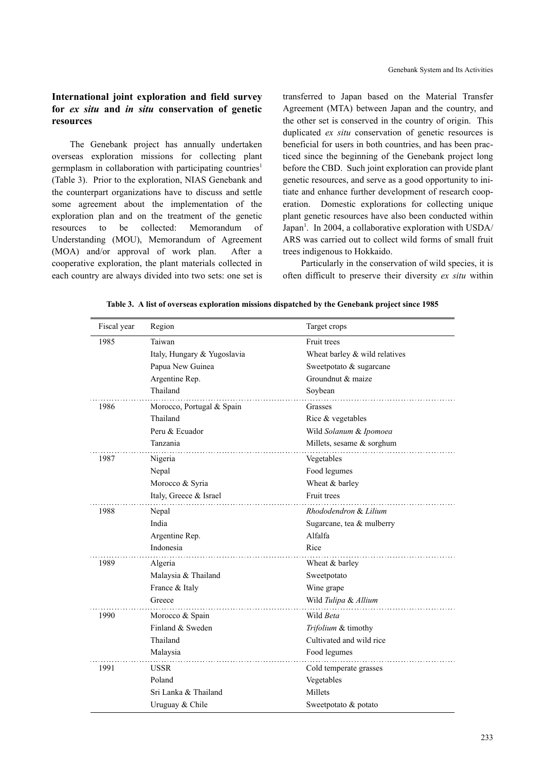## **International joint exploration and field survey for** *ex situ* **and** *in situ* **conservation of genetic resources**

The Genebank project has annually undertaken overseas exploration missions for collecting plant germplasm in collaboration with participating countries<sup>1</sup> (Table 3). Prior to the exploration, NIAS Genebank and the counterpart organizations have to discuss and settle some agreement about the implementation of the exploration plan and on the treatment of the genetic resources to be collected: Memorandum of Understanding (MOU), Memorandum of Agreement (MOA) and/or approval of work plan. After a cooperative exploration, the plant materials collected in each country are always divided into two sets: one set is transferred to Japan based on the Material Transfer Agreement (MTA) between Japan and the country, and the other set is conserved in the country of origin. This duplicated *ex situ* conservation of genetic resources is beneficial for users in both countries, and has been practiced since the beginning of the Genebank project long before the CBD. Such joint exploration can provide plant genetic resources, and serve as a good opportunity to initiate and enhance further development of research cooperation. Domestic explorations for collecting unique plant genetic resources have also been conducted within Japan<sup>1</sup>. In 2004, a collaborative exploration with USDA/ ARS was carried out to collect wild forms of small fruit trees indigenous to Hokkaido.

Particularly in the conservation of wild species, it is often difficult to preserve their diversity *ex situ* within

| Fiscal year | Region                      | Target crops                  |
|-------------|-----------------------------|-------------------------------|
| 1985        | Taiwan                      | Fruit trees                   |
|             | Italy, Hungary & Yugoslavia | Wheat barley & wild relatives |
|             | Papua New Guinea            | Sweetpotato & sugarcane       |
|             | Argentine Rep.              | Groundnut & maize             |
|             | Thailand                    | Soybean                       |
| 1986        | Morocco, Portugal & Spain   | Grasses                       |
|             | Thailand                    | Rice & vegetables             |
|             | Peru & Ecuador              | Wild Solanum & Ipomoea        |
|             | Tanzania                    | Millets, sesame & sorghum     |
| 1987        | Nigeria                     | Vegetables                    |
|             | Nepal                       | Food legumes                  |
|             | Morocco & Syria             | Wheat & barley                |
|             | Italy, Greece & Israel      | Fruit trees                   |
| 1988        | Nepal                       | Rhododendron & Lilium         |
|             | India                       | Sugarcane, tea & mulberry     |
|             | Argentine Rep.              | Alfalfa                       |
|             | Indonesia                   | Rice                          |
| 1989        | Algeria                     | Wheat & barley                |
|             | Malaysia & Thailand         | Sweetpotato                   |
|             | France & Italy              | Wine grape                    |
|             | Greece                      | Wild Tulipa & Allium          |
| 1990        | Morocco & Spain             | Wild Beta                     |
|             | Finland & Sweden            | Trifolium & timothy           |
|             | Thailand                    | Cultivated and wild rice      |
|             | Malaysia                    | Food legumes                  |
| 1991        | <b>USSR</b>                 | Cold temperate grasses        |
|             | Poland                      | Vegetables                    |
|             | Sri Lanka & Thailand        | Millets                       |
|             | Uruguay & Chile             | Sweetpotato & potato          |

**Table 3. A list of overseas exploration missions dispatched by the Genebank project since 1985**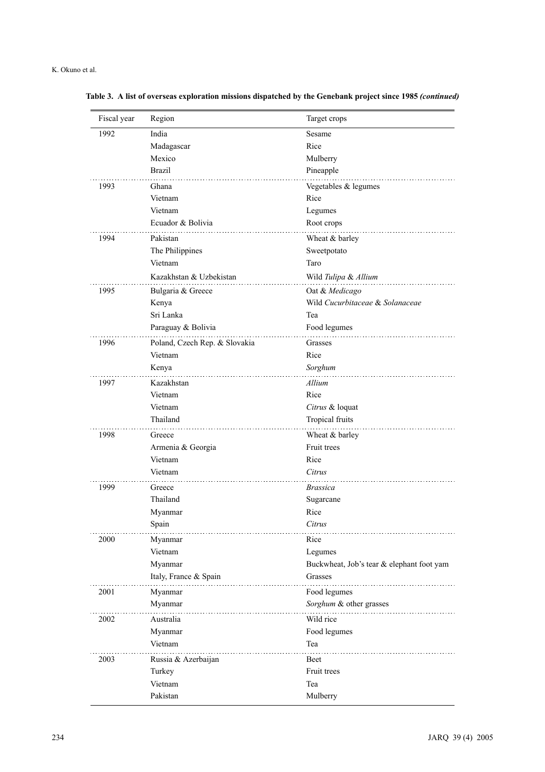| Fiscal year | Region                        | Target crops                              |
|-------------|-------------------------------|-------------------------------------------|
| 1992        | India                         | Sesame                                    |
|             | Madagascar                    | Rice                                      |
|             | Mexico                        | Mulberry                                  |
|             | <b>Brazil</b>                 | Pineapple                                 |
| 1993        | Ghana                         | Vegetables & legumes                      |
|             | Vietnam                       | Rice                                      |
|             | Vietnam                       | Legumes                                   |
|             | Ecuador & Bolivia             | Root crops                                |
| 1994        | Pakistan                      | Wheat & barley                            |
|             | The Philippines               | Sweetpotato                               |
|             | Vietnam                       | Taro                                      |
|             | Kazakhstan & Uzbekistan       | Wild Tulipa & Allium                      |
| 1995        | Bulgaria & Greece             | Oat & Medicago                            |
|             | Kenya                         | Wild Cucurbitaceae & Solanaceae           |
|             | Sri Lanka                     | Tea                                       |
|             | Paraguay & Bolivia            | Food legumes                              |
| 1996        | Poland, Czech Rep. & Slovakia | Grasses                                   |
|             | Vietnam                       | Rice                                      |
|             | Kenya                         | Sorghum                                   |
| 1997        | Kazakhstan                    | Allium                                    |
|             | Vietnam                       | Rice                                      |
|             | Vietnam                       | Citrus & loquat                           |
|             | Thailand                      | Tropical fruits                           |
| 1998        | Greece                        | Wheat & barley                            |
|             | Armenia & Georgia             | Fruit trees                               |
|             | Vietnam                       | Rice                                      |
|             | Vietnam                       | Citrus                                    |
| 1999        | Greece                        | <i><b>Brassica</b></i>                    |
|             | Thailand                      | Sugarcane                                 |
|             | Myanmar                       | Rice                                      |
|             | Spain                         | Citrus                                    |
| 2000        | Myanmar                       | Rice                                      |
|             | Vietnam                       | Legumes                                   |
|             | Myanmar                       | Buckwheat, Job's tear & elephant foot yam |
|             | Italy, France & Spain         | Grasses                                   |
| 2001        | Myanmar                       | Food legumes                              |
|             | Myanmar                       | Sorghum & other grasses                   |
| 2002        | Australia                     | Wild rice                                 |
|             | Myanmar                       | Food legumes                              |
|             | Vietnam                       | Tea                                       |
| 2003        | Russia & Azerbaijan           | Beet                                      |
|             | Turkey                        | Fruit trees                               |
|             | Vietnam                       | Tea                                       |
|             | Pakistan                      | Mulberry                                  |

**Table 3. A list of overseas exploration missions dispatched by the Genebank project since 1985** *(continued)*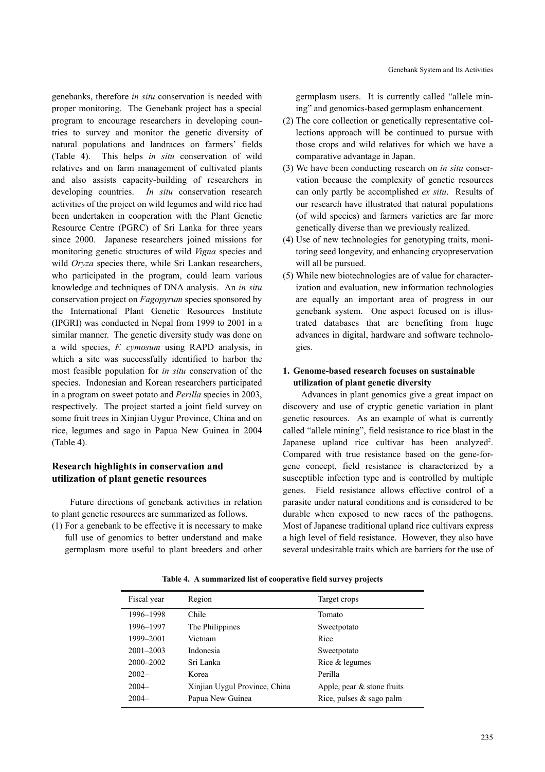Genebank System and Its Activities

genebanks, therefore *in situ* conservation is needed with proper monitoring. The Genebank project has a special program to encourage researchers in developing countries to survey and monitor the genetic diversity of natural populations and landraces on farmers' fields (Table 4). This helps *in situ* conservation of wild relatives and on farm management of cultivated plants and also assists capacity-building of researchers in developing countries. *In situ* conservation research activities of the project on wild legumes and wild rice had been undertaken in cooperation with the Plant Genetic Resource Centre (PGRC) of Sri Lanka for three years since 2000. Japanese researchers joined missions for monitoring genetic structures of wild *Vigna* species and wild *Oryza* species there, while Sri Lankan researchers, who participated in the program, could learn various knowledge and techniques of DNA analysis. An *in situ* conservation project on *Fagopyrum* species sponsored by the International Plant Genetic Resources Institute (IPGRI) was conducted in Nepal from 1999 to 2001 in a similar manner. The genetic diversity study was done on a wild species, *F. cymosum* using RAPD analysis, in which a site was successfully identified to harbor the most feasible population for *in situ* conservation of the species. Indonesian and Korean researchers participated in a program on sweet potato and *Perilla* species in 2003, respectively. The project started a joint field survey on some fruit trees in Xinjian Uygur Province, China and on rice, legumes and sago in Papua New Guinea in 2004 (Table 4).

## **Research highlights in conservation and utilization of plant genetic resources**

Future directions of genebank activities in relation to plant genetic resources are summarized as follows.

(1) For a genebank to be effective it is necessary to make full use of genomics to better understand and make germplasm more useful to plant breeders and other

germplasm users. It is currently called "allele mining" and genomics-based germplasm enhancement.

- (2) The core collection or genetically representative collections approach will be continued to pursue with those crops and wild relatives for which we have a comparative advantage in Japan.
- (3) We have been conducting research on *in situ* conservation because the complexity of genetic resources can only partly be accomplished *ex situ*. Results of our research have illustrated that natural populations (of wild species) and farmers varieties are far more genetically diverse than we previously realized.
- (4) Use of new technologies for genotyping traits, monitoring seed longevity, and enhancing cryopreservation will all be pursued.
- (5) While new biotechnologies are of value for characterization and evaluation, new information technologies are equally an important area of progress in our genebank system. One aspect focused on is illustrated databases that are benefiting from huge advances in digital, hardware and software technologies.

## **1. Genome-based research focuses on sustainable utilization of plant genetic diversity**

Advances in plant genomics give a great impact on discovery and use of cryptic genetic variation in plant genetic resources. As an example of what is currently called "allele mining", field resistance to rice blast in the Japanese upland rice cultivar has been analyzed<sup>2</sup>. Compared with true resistance based on the gene-forgene concept, field resistance is characterized by a susceptible infection type and is controlled by multiple genes. Field resistance allows effective control of a parasite under natural conditions and is considered to be durable when exposed to new races of the pathogens. Most of Japanese traditional upland rice cultivars express a high level of field resistance. However, they also have several undesirable traits which are barriers for the use of

| Fiscal year   | Region                        | Target crops                 |
|---------------|-------------------------------|------------------------------|
| 1996-1998     | Chile                         | Tomato                       |
| 1996-1997     | The Philippines               | Sweetpotato                  |
| 1999-2001     | Vietnam                       | Rice                         |
| $2001 - 2003$ | Indonesia                     | Sweetpotato                  |
| $2000 - 2002$ | Sri Lanka                     | Rice $&$ legumes             |
| $2002 -$      | Korea                         | Perilla                      |
| $2004 -$      | Xinjian Uygul Province, China | Apple, pear $&$ stone fruits |
| $2004 -$      | Papua New Guinea              | Rice, pulses $&$ sago palm   |

**Table 4. A summarized list of cooperative field survey projects**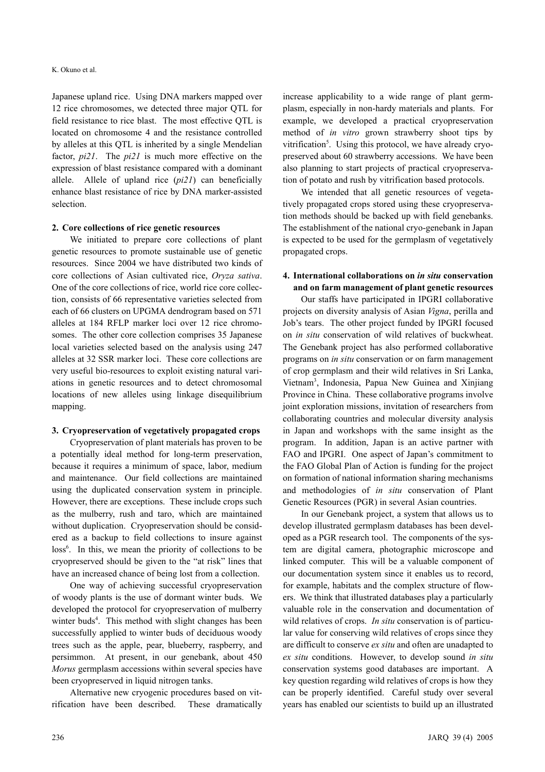Japanese upland rice. Using DNA markers mapped over 12 rice chromosomes, we detected three major QTL for field resistance to rice blast. The most effective QTL is located on chromosome 4 and the resistance controlled by alleles at this QTL is inherited by a single Mendelian factor, *pi21*. The *pi21* is much more effective on the expression of blast resistance compared with a dominant allele. Allele of upland rice (*pi21*) can beneficially enhance blast resistance of rice by DNA marker-assisted selection.

#### **2. Core collections of rice genetic resources**

We initiated to prepare core collections of plant genetic resources to promote sustainable use of genetic resources. Since 2004 we have distributed two kinds of core collections of Asian cultivated rice, *Oryza sativa*. One of the core collections of rice, world rice core collection, consists of 66 representative varieties selected from each of 66 clusters on UPGMA dendrogram based on 571 alleles at 184 RFLP marker loci over 12 rice chromosomes. The other core collection comprises 35 Japanese local varieties selected based on the analysis using 247 alleles at 32 SSR marker loci. These core collections are very useful bio-resources to exploit existing natural variations in genetic resources and to detect chromosomal locations of new alleles using linkage disequilibrium mapping.

#### **3. Cryopreservation of vegetatively propagated crops**

Cryopreservation of plant materials has proven to be a potentially ideal method for long-term preservation, because it requires a minimum of space, labor, medium and maintenance. Our field collections are maintained using the duplicated conservation system in principle. However, there are exceptions. These include crops such as the mulberry, rush and taro, which are maintained without duplication. Cryopreservation should be considered as a backup to field collections to insure against loss<sup>6</sup>. In this, we mean the priority of collections to be cryopreserved should be given to the "at risk" lines that have an increased chance of being lost from a collection.

One way of achieving successful cryopreservation of woody plants is the use of dormant winter buds. We developed the protocol for cryopreservation of mulberry winter buds<sup>4</sup>. This method with slight changes has been successfully applied to winter buds of deciduous woody trees such as the apple, pear, blueberry, raspberry, and persimmon. At present, in our genebank, about 450 *Morus* germplasm accessions within several species have been cryopreserved in liquid nitrogen tanks.

Alternative new cryogenic procedures based on vitrification have been described. These dramatically

increase applicability to a wide range of plant germplasm, especially in non-hardy materials and plants. For example, we developed a practical cryopreservation method of *in vitro* grown strawberry shoot tips by vitrification<sup>5</sup>. Using this protocol, we have already cryopreserved about 60 strawberry accessions. We have been also planning to start projects of practical cryopreservation of potato and rush by vitrification based protocols.

We intended that all genetic resources of vegetatively propagated crops stored using these cryopreservation methods should be backed up with field genebanks. The establishment of the national cryo-genebank in Japan is expected to be used for the germplasm of vegetatively propagated crops.

## **4. International collaborations on** *in situ* **conservation and on farm management of plant genetic resources**

Our staffs have participated in IPGRI collaborative projects on diversity analysis of Asian *Vigna*, perilla and Job's tears. The other project funded by IPGRI focused on *in situ* conservation of wild relatives of buckwheat. The Genebank project has also performed collaborative programs on *in situ* conservation or on farm management of crop germplasm and their wild relatives in Sri Lanka, Vietnam3 , Indonesia, Papua New Guinea and Xinjiang Province in China. These collaborative programs involve joint exploration missions, invitation of researchers from collaborating countries and molecular diversity analysis in Japan and workshops with the same insight as the program. In addition, Japan is an active partner with FAO and IPGRI. One aspect of Japan's commitment to the FAO Global Plan of Action is funding for the project on formation of national information sharing mechanisms and methodologies of *in situ* conservation of Plant Genetic Resources (PGR) in several Asian countries.

In our Genebank project, a system that allows us to develop illustrated germplasm databases has been developed as a PGR research tool. The components of the system are digital camera, photographic microscope and linked computer. This will be a valuable component of our documentation system since it enables us to record, for example, habitats and the complex structure of flowers. We think that illustrated databases play a particularly valuable role in the conservation and documentation of wild relatives of crops. *In situ* conservation is of particular value for conserving wild relatives of crops since they are difficult to conserve *ex situ* and often are unadapted to *ex situ* conditions. However, to develop sound *in situ* conservation systems good databases are important. A key question regarding wild relatives of crops is how they can be properly identified. Careful study over several years has enabled our scientists to build up an illustrated